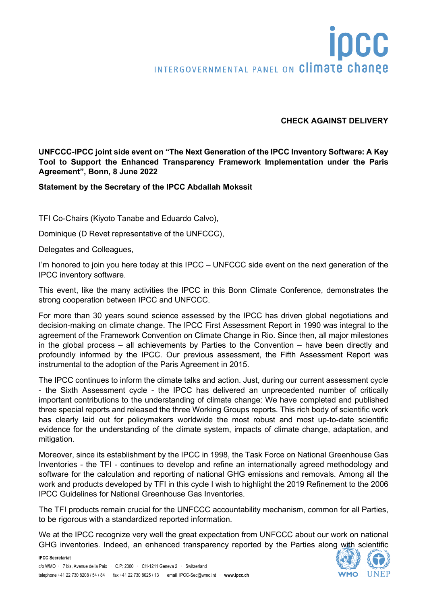## **IDCC** INTERGOVERNMENTAL PANEL ON Climate change

## **CHECK AGAINST DELIVERY**

**UNFCCC-IPCC joint side event on "The Next Generation of the IPCC Inventory Software: A Key Tool to Support the Enhanced Transparency Framework Implementation under the Paris Agreement", Bonn, 8 June 2022** 

## **Statement by the Secretary of the IPCC Abdallah Mokssit**

TFI Co-Chairs (Kiyoto Tanabe and Eduardo Calvo),

Dominique (D Revet representative of the UNFCCC),

Delegates and Colleagues,

I'm honored to join you here today at this IPCC – UNFCCC side event on the next generation of the IPCC inventory software.

This event, like the many activities the IPCC in this Bonn Climate Conference, demonstrates the strong cooperation between IPCC and UNFCCC.

For more than 30 years sound science assessed by the IPCC has driven global negotiations and decision-making on climate change. The IPCC First Assessment Report in 1990 was integral to the agreement of the Framework Convention on Climate Change in Rio. Since then, all major milestones in the global process – all achievements by Parties to the Convention – have been directly and profoundly informed by the IPCC. Our previous assessment, the Fifth Assessment Report was instrumental to the adoption of the Paris Agreement in 2015.

The IPCC continues to inform the climate talks and action. Just, during our current assessment cycle - the Sixth Assessment cycle - the IPCC has delivered an unprecedented number of critically important contributions to the understanding of climate change: We have completed and published three special reports and released the three Working Groups reports. This rich body of scientific work has clearly laid out for policymakers worldwide the most robust and most up-to-date scientific evidence for the understanding of the climate system, impacts of climate change, adaptation, and mitigation.

Moreover, since its establishment by the IPCC in 1998, the Task Force on National Greenhouse Gas Inventories - the TFI - continues to develop and refine an internationally agreed methodology and software for the calculation and reporting of national GHG emissions and removals. Among all the work and products developed by TFI in this cycle I wish to highlight the 2019 Refinement to the 2006 IPCC Guidelines for National Greenhouse Gas Inventories.

The TFI products remain crucial for the UNFCCC accountability mechanism, common for all Parties, to be rigorous with a standardized reported information.

We at the IPCC recognize very well the great expectation from UNFCCC about our work on national GHG inventories. Indeed, an enhanced transparency reported by the Parties along with scientific